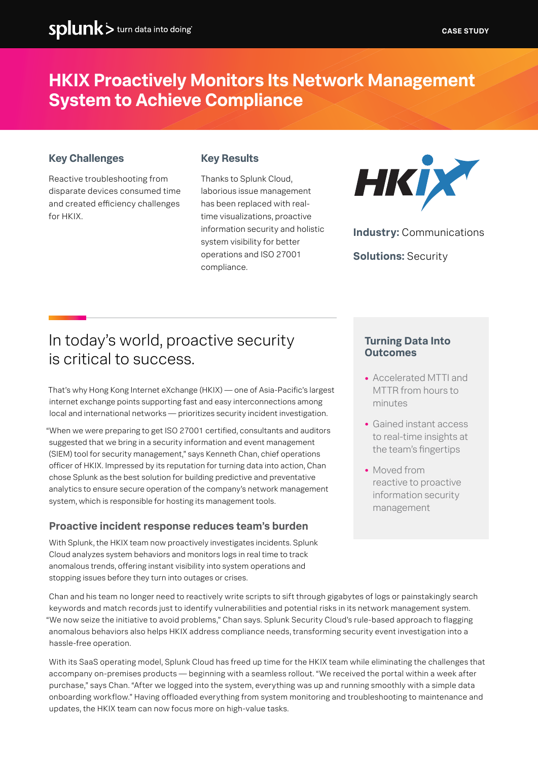# **HKIX Proactively Monitors Its Network Management System to Achieve Compliance**

### **Key Challenges**

# **Key Results**

Reactive troubleshooting from disparate devices consumed time and created efficiency challenges for HKIX.

Thanks to Splunk Cloud, laborious issue management has been replaced with realtime visualizations, proactive information security and holistic system visibility for better operations and ISO 27001 compliance.



**Industry:** Communications

**Solutions:** Security

# In today's world, proactive security is critical to success.

That's why Hong Kong Internet eXchange (HKIX) — one of Asia-Pacific's largest internet exchange points supporting fast and easy interconnections among local and international networks — prioritizes security incident investigation.

"When we were preparing to get ISO 27001 certified, consultants and auditors suggested that we bring in a security information and event management (SIEM) tool for security management," says Kenneth Chan, chief operations officer of HKIX. Impressed by its reputation for turning data into action, Chan chose Splunk as the best solution for building predictive and preventative analytics to ensure secure operation of the company's network management system, which is responsible for hosting its management tools.

## **Proactive incident response reduces team's burden**

With Splunk, the HKIX team now proactively investigates incidents. Splunk Cloud analyzes system behaviors and monitors logs in real time to track anomalous trends, offering instant visibility into system operations and stopping issues before they turn into outages or crises.

#### **Turning Data Into Outcomes**

- **•** Accelerated MTTI and MTTR from hours to minutes
- **•** Gained instant access to real-time insights at the team's fingertips
- **•** Moved from reactive to proactive information security management

Chan and his team no longer need to reactively write scripts to sift through gigabytes of logs or painstakingly search keywords and match records just to identify vulnerabilities and potential risks in its network management system. "We now seize the initiative to avoid problems," Chan says. Splunk Security Cloud's rule-based approach to flagging anomalous behaviors also helps HKIX address compliance needs, transforming security event investigation into a hassle-free operation.

With its SaaS operating model, Splunk Cloud has freed up time for the HKIX team while eliminating the challenges that accompany on-premises products — beginning with a seamless rollout. "We received the portal within a week after purchase," says Chan. "After we logged into the system, everything was up and running smoothly with a simple data onboarding workflow." Having offloaded everything from system monitoring and troubleshooting to maintenance and updates, the HKIX team can now focus more on high-value tasks.